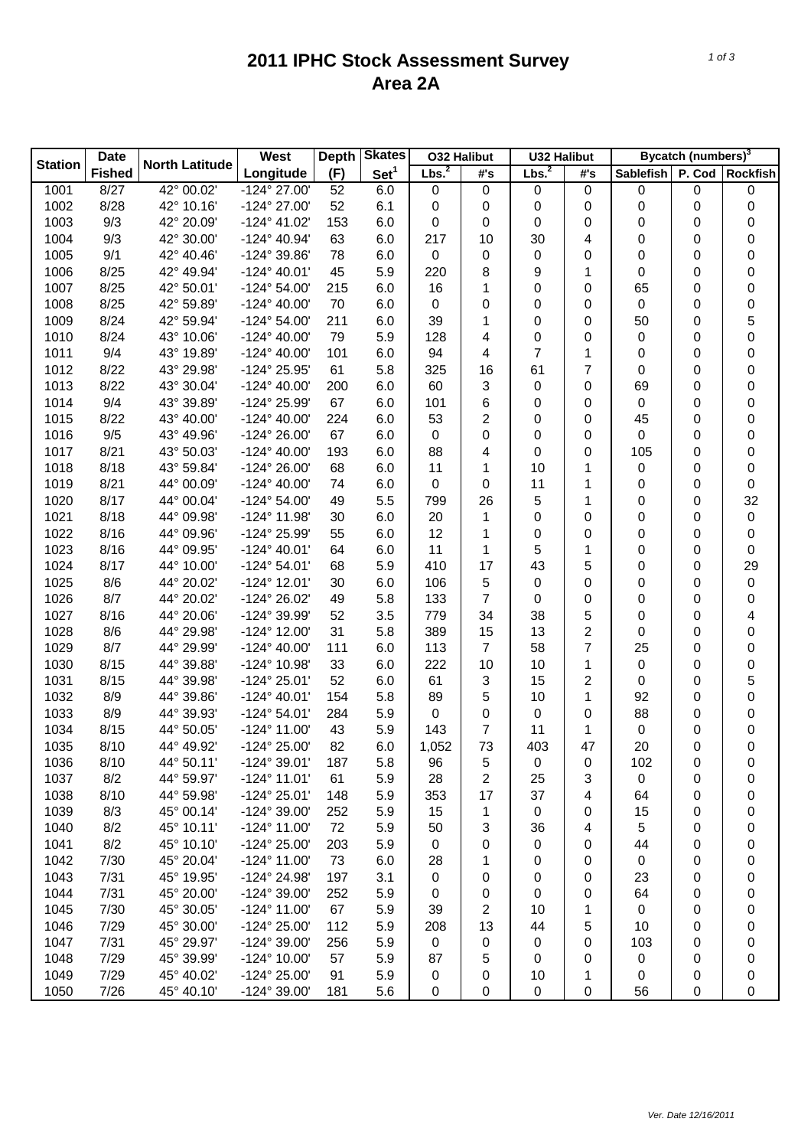## **2011 IPHC Stock Assessment Survey Area 2A**

|                | <b>Date</b>   |                       | West                  | <b>Skates</b><br>Depth |                  | <b>032 Halibut</b> |                | <b>U32 Halibut</b> |                | Bycatch (numbers) <sup>3</sup> |   |                  |
|----------------|---------------|-----------------------|-----------------------|------------------------|------------------|--------------------|----------------|--------------------|----------------|--------------------------------|---|------------------|
| <b>Station</b> | <b>Fished</b> | <b>North Latitude</b> | Longitude             | (F)                    | Set <sup>1</sup> | Lbs. <sup>2</sup>  | #'s            | Lbs. <sup>2</sup>  | #'s            | Sablefish P. Cod Rockfish      |   |                  |
| 1001           | 8/27          | 42° 00.02'            | $-124^{\circ}$ 27.00' | 52                     | 6.0              | $\mathbf 0$        | 0              | $\boldsymbol{0}$   | 0              | 0                              | 0 | 0                |
| 1002           | 8/28          | 42° 10.16'            | -124° 27.00'          | 52                     | 6.1              | 0                  | 0              | $\boldsymbol{0}$   | $\pmb{0}$      | 0                              | 0 | $\boldsymbol{0}$ |
| 1003           | 9/3           | 42° 20.09'            | $-124^{\circ}$ 41.02' | 153                    | 6.0              | 0                  | 0              | 0                  | 0              | 0                              | 0 | 0                |
| 1004           | 9/3           | 42° 30.00'            | -124° 40.94'          | 63                     | 6.0              | 217                | 10             | 30                 | 4              | 0                              | 0 | 0                |
| 1005           | 9/1           | 42° 40.46'            | -124° 39.86'          | 78                     | 6.0              | $\pmb{0}$          | 0              | 0                  | 0              | 0                              | 0 | 0                |
| 1006           | 8/25          | 42° 49.94'            | $-124^{\circ}$ 40.01' | 45                     | 5.9              | 220                | 8              | 9                  | 1              | 0                              | 0 | 0                |
| 1007           | 8/25          | 42° 50.01'            | -124° 54.00'          | 215                    | 6.0              | 16                 | 1              | 0                  | 0              | 65                             | 0 | 0                |
| 1008           | 8/25          | 42° 59.89'            | -124° 40.00'          | 70                     | 6.0              | 0                  | 0              | 0                  | 0              | 0                              | 0 | 0                |
| 1009           | 8/24          | 42° 59.94'            | -124° 54.00'          | 211                    | 6.0              | 39                 | 1              | 0                  | 0              | 50                             | 0 | 5                |
| 1010           | 8/24          | 43° 10.06'            | -124° 40.00'          | 79                     | 5.9              | 128                | 4              | 0                  | 0              | 0                              | 0 | 0                |
| 1011           | 9/4           | 43° 19.89'            | -124° 40.00'          | 101                    | 6.0              | 94                 | 4              | 7                  | 1              | 0                              | 0 | 0                |
| 1012           | 8/22          | 43° 29.98'            | -124° 25.95'          | 61                     | 5.8              | 325                | 16             | 61                 | $\overline{7}$ | 0                              | 0 | 0                |
| 1013           | 8/22          | 43° 30.04'            | -124° 40.00'          | 200                    | 6.0              | 60                 | 3              | 0                  | 0              | 69                             | 0 | 0                |
| 1014           | 9/4           | 43° 39.89'            | -124° 25.99'          | 67                     | 6.0              | 101                | 6              | 0                  | 0              | 0                              | 0 | 0                |
| 1015           | 8/22          | 43° 40.00'            | -124° 40.00'          | 224                    | 6.0              | 53                 | 2              | 0                  | 0              | 45                             | 0 | 0                |
| 1016           | 9/5           | 43° 49.96'            | -124° 26.00'          | 67                     | 6.0              | $\pmb{0}$          | 0              | 0                  | 0              | 0                              | 0 | 0                |
| 1017           | 8/21          | 43° 50.03'            | $-124^{\circ}$ 40.00' | 193                    | 6.0              | 88                 | 4              | 0                  | 0              | 105                            | 0 | 0                |
| 1018           | 8/18          | 43° 59.84'            | -124° 26.00'          | 68                     | 6.0              | 11                 | 1              | 10                 | 1              | 0                              | 0 | 0                |
| 1019           | 8/21          | 44° 00.09'            | $-124^{\circ}$ 40.00' | 74                     | 6.0              | 0                  | 0              | 11                 | 1              | 0                              | 0 | 0                |
| 1020           | 8/17          | 44° 00.04'            | -124° 54.00'          | 49                     | 5.5              | 799                | 26             | 5                  | 1              | 0                              | 0 | 32               |
| 1021           | 8/18          | 44° 09.98'            | -124° 11.98'          | 30                     | 6.0              | 20                 | 1              | 0                  | 0              | 0                              | 0 | $\pmb{0}$        |
| 1022           | 8/16          | 44° 09.96'            | -124° 25.99'          | 55                     | 6.0              | 12                 | 1              | 0                  | 0              | 0                              | 0 | $\pmb{0}$        |
| 1023           | 8/16          | 44° 09.95'            | $-124^{\circ}$ 40.01' | 64                     | 6.0              | 11                 | 1              | 5                  | 1              | 0                              | 0 | 0                |
| 1024           | 8/17          | 44° 10.00'            | $-124^{\circ} 54.01'$ | 68                     | 5.9              | 410                | 17             | 43                 | 5              | 0                              | 0 | 29               |
| 1025           | 8/6           | 44° 20.02'            | $-124^{\circ}$ 12.01' | 30                     | 6.0              | 106                | 5              | 0                  | 0              | 0                              | 0 | $\pmb{0}$        |
| 1026           | 8/7           | 44° 20.02'            | -124° 26.02'          | 49                     | 5.8              | 133                | 7              | 0                  | 0              | 0                              | 0 | 0                |
| 1027           | 8/16          | 44° 20.06'            | -124° 39.99'          | 52                     | 3.5              | 779                | 34             | 38                 | 5              | 0                              | 0 | 4                |
| 1028           | 8/6           | 44° 29.98'            | -124° 12.00'          | 31                     | 5.8              | 389                | 15             | 13                 | $\overline{c}$ | 0                              | 0 | 0                |
| 1029           | 8/7           | 44° 29.99'            | -124° 40.00'          | 111                    | 6.0              | 113                | $\overline{7}$ | 58                 | $\overline{7}$ | 25                             | 0 | 0                |
| 1030           | 8/15          | 44° 39.88'            | -124° 10.98'          | 33                     | 6.0              | 222                | 10             | 10                 | 1              | $\mathbf 0$                    | 0 | 0                |
| 1031           | 8/15          | 44° 39.98'            | $-124^{\circ} 25.01'$ | 52                     | 6.0              | 61                 | 3              | 15                 | $\overline{c}$ | 0                              | 0 | 5                |
| 1032           | 8/9           | 44° 39.86'            | $-124^{\circ}$ 40.01' | 154                    | 5.8              | 89                 | 5              | 10                 | 1              | 92                             | 0 | 0                |
| 1033           | 8/9           | 44° 39.93'            | $-124^{\circ} 54.01'$ | 284                    | 5.9              | $\pmb{0}$          | 0              | $\boldsymbol{0}$   | 0              | 88                             | 0 | 0                |
| 1034           | 8/15          | 44° 50.05'            | $-124^{\circ}$ 11.00' | 43                     | 5.9              | 143                | 7              | 11                 | 1              | 0                              | 0 | 0                |
| 1035           | 8/10          | 44° 49.92'            | -124° 25.00'          | 82                     | 6.0              | 1,052              | 73             | 403                | 47             | 20                             | 0 | 0                |
| 1036           | 8/10          | 44° 50.11'            | -124° 39.01'          | 187                    | 5.8              | 96                 | 5              | 0                  | 0              | 102                            | 0 | 0                |
| 1037           | 8/2           | 44° 59.97'            | $-124^{\circ}$ 11.01' | 61                     | 5.9              | 28                 | 2              | 25                 | 3              | $\pmb{0}$                      | 0 | 0                |
| 1038           | 8/10          | 44° 59.98'            | $-124^{\circ} 25.01'$ | 148                    | 5.9              | 353                | 17             | 37                 | 4              | 64                             | 0 | 0                |
| 1039           | 8/3           | 45° 00.14'            | -124° 39.00'          | 252                    | 5.9              | 15                 | 1              | 0                  | 0              | 15                             | 0 | 0                |
| 1040           | 8/2           | 45° 10.11'            | $-124^{\circ}$ 11.00' | 72                     | 5.9              | 50                 | 3              | 36                 | 4              | 5                              | 0 | 0                |
| 1041           | 8/2           | 45° 10.10'            | -124° 25.00'          | 203                    | 5.9              | 0                  | 0              | 0                  | 0              | 44                             | 0 | 0                |
| 1042           | 7/30          | 45° 20.04'            | $-124^{\circ}$ 11.00' | 73                     | 6.0              | 28                 | 1              | 0                  | 0              | 0                              | 0 | 0                |
| 1043           | 7/31          | 45° 19.95'            | -124° 24.98'          | 197                    | 3.1              | 0                  | 0              | 0                  | 0              | 23                             | 0 | 0                |
| 1044           | 7/31          | 45° 20.00'            | -124° 39.00'          | 252                    | 5.9              | 0                  | 0              | 0                  | 0              | 64                             | 0 | 0                |
| 1045           | 7/30          | 45° 30.05'            | $-124^{\circ}$ 11.00' | 67                     | 5.9              | 39                 | 2              | 10                 | 1              | 0                              | 0 | 0                |
| 1046           | 7/29          | 45° 30.00'            | -124° 25.00'          | 112                    | 5.9              | 208                | 13             | 44                 | 5              | 10                             | 0 | 0                |
| 1047           | 7/31          | 45° 29.97'            | -124° 39.00'          | 256                    | 5.9              | $\pmb{0}$          | 0              | 0                  | 0              | 103                            | 0 | 0                |
| 1048           | 7/29          | 45° 39.99'            | -124° 10.00'          | 57                     | 5.9              | 87                 | 5              | 0                  | 0              | 0                              | 0 | 0                |
| 1049           | 7/29          | 45° 40.02'            | -124° 25.00'          | 91                     | 5.9              | 0                  | 0              | 10                 | 1              | 0                              | 0 | 0                |
| 1050           | 7/26          | 45° 40.10'            | -124° 39.00'          | 181                    | 5.6              | 0                  | 0              | $\boldsymbol{0}$   | $\pmb{0}$      | 56                             | 0 | 0                |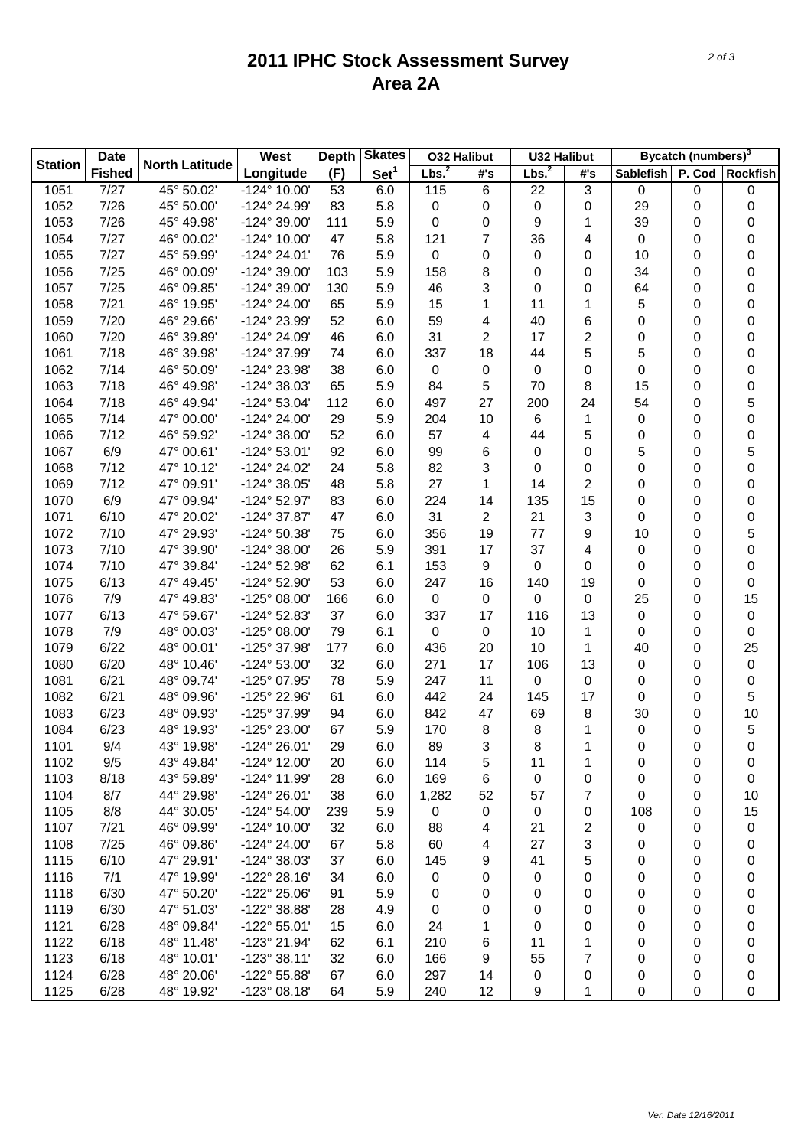## **2011 IPHC Stock Assessment Survey Area 2A**

|                | <b>Date</b><br><b>Fished</b> | <b>North Latitude</b> | West                  | <b>Skates</b><br><b>Depth</b> |                  | <b>O32 Halibut</b> |                | <b>U32 Halibut</b> |     | Bycatch (numbers) <sup>3</sup> |   |                           |  |
|----------------|------------------------------|-----------------------|-----------------------|-------------------------------|------------------|--------------------|----------------|--------------------|-----|--------------------------------|---|---------------------------|--|
| <b>Station</b> |                              |                       | Longitude             | (F)                           | Set <sup>1</sup> | Lbs. <sup>2</sup>  | #'s            | Lbs. <sup>2</sup>  | #'s |                                |   | Sablefish P. Cod Rockfish |  |
| 1051           | 7/27                         | 45° 50.02'            | $-124^{\circ}$ 10.00' | 53                            | 6.0              | 115                | 6              | 22                 | 3   | 0                              | 0 | 0                         |  |
| 1052           | 7/26                         | 45° 50.00'            | -124° 24.99'          | 83                            | 5.8              | $\pmb{0}$          | 0              | $\mathbf 0$        | 0   | 29                             | 0 | 0                         |  |
| 1053           | 7/26                         | 45° 49.98'            | -124° 39.00'          | 111                           | 5.9              | 0                  | 0              | 9                  | 1   | 39                             | 0 | 0                         |  |
| 1054           | 7/27                         | 46° 00.02'            | $-124^{\circ}$ 10.00  | 47                            | 5.8              | 121                | $\overline{7}$ | 36                 | 4   | $\mathbf 0$                    | 0 | 0                         |  |
| 1055           | 7/27                         | 45° 59.99'            | $-124^{\circ} 24.01'$ | 76                            | 5.9              | $\pmb{0}$          | 0              | 0                  | 0   | 10                             | 0 | 0                         |  |
| 1056           | 7/25                         | 46° 00.09'            | -124° 39.00'          | 103                           | 5.9              | 158                | 8              | 0                  | 0   | 34                             | 0 | 0                         |  |
| 1057           | 7/25                         | 46° 09.85'            | -124° 39.00'          | 130                           | 5.9              | 46                 | 3              | 0                  | 0   | 64                             | 0 | 0                         |  |
| 1058           | 7/21                         | 46° 19.95'            | -124° 24.00'          | 65                            | 5.9              | 15                 | 1              | 11                 | 1   | 5                              | 0 | 0                         |  |
| 1059           | 7/20                         | 46° 29.66'            | -124° 23.99'          | 52                            | 6.0              | 59                 | 4              | 40                 | 6   | 0                              | 0 | 0                         |  |
| 1060           | 7/20                         | 46° 39.89'            | -124° 24.09'          | 46                            | 6.0              | 31                 | 2              | 17                 | 2   | 0                              | 0 | 0                         |  |
| 1061           | 7/18                         | 46° 39.98'            | -124° 37.99'          | 74                            | 6.0              | 337                | 18             | 44                 | 5   | 5                              | 0 | 0                         |  |
| 1062           | 7/14                         | 46° 50.09'            | -124° 23.98'          | 38                            | 6.0              | $\pmb{0}$          | 0              | 0                  | 0   | 0                              | 0 | 0                         |  |
| 1063           | 7/18                         | 46° 49.98'            | -124° 38.03'          | 65                            | 5.9              | 84                 | 5              | 70                 | 8   | 15                             | 0 | 0                         |  |
| 1064           | 7/18                         | 46° 49.94'            | $-124^{\circ} 53.04'$ | 112                           | 6.0              | 497                | 27             | 200                | 24  | 54                             | 0 | 5                         |  |
| 1065           | 7/14                         | 47° 00.00'            | -124° 24.00'          | 29                            | 5.9              | 204                | 10             | 6                  | 1   | 0                              | 0 | 0                         |  |
| 1066           | 7/12                         | 46° 59.92'            | $-124^{\circ}38.00'$  | 52                            | 6.0              | 57                 | 4              | 44                 | 5   | 0                              | 0 | 0                         |  |
| 1067           | 6/9                          | 47° 00.61'            | $-124^{\circ}53.01'$  | 92                            | 6.0              | 99                 | 6              | 0                  | 0   | 5                              | 0 | 5                         |  |
| 1068           | 7/12                         | 47° 10.12'            | -124° 24.02'          | 24                            | 5.8              | 82                 | 3              | 0                  | 0   | 0                              | 0 | 0                         |  |
| 1069           | 7/12                         | 47° 09.91'            | $-124^{\circ}38.05'$  | 48                            | 5.8              | 27                 | 1              | 14                 | 2   | 0                              | 0 | 0                         |  |
| 1070           | 6/9                          | 47° 09.94'            | -124° 52.97'          | 83                            | 6.0              | 224                | 14             | 135                | 15  | 0                              | 0 | 0                         |  |
| 1071           | 6/10                         | 47° 20.02'            | $-124^{\circ}37.87'$  | 47                            | 6.0              | 31                 | $\overline{c}$ | 21                 | 3   | 0                              | 0 | 0                         |  |
| 1072           | 7/10                         | 47° 29.93'            | -124° 50.38'          | 75                            | 6.0              | 356                | 19             | 77                 | 9   | 10                             | 0 | 5                         |  |
| 1073           | 7/10                         | 47° 39.90'            | $-124^{\circ}38.00'$  | 26                            | 5.9              | 391                | 17             | 37                 | 4   | 0                              | 0 | 0                         |  |
| 1074           | 7/10                         | 47° 39.84'            | -124° 52.98'          | 62                            | 6.1              | 153                | 9              | 0                  | 0   | 0                              | 0 | 0                         |  |
| 1075           | 6/13                         | 47° 49.45'            | -124° 52.90'          | 53                            | 6.0              | 247                | 16             | 140                | 19  | 0                              | 0 | 0                         |  |
| 1076           | 7/9                          | 47° 49.83'            | $-125^{\circ}$ 08.00  | 166                           | 6.0              | $\pmb{0}$          | $\mathbf 0$    | 0                  | 0   | 25                             | 0 | 15                        |  |
| 1077           | 6/13                         | 47° 59.67'            | -124° 52.83'          | 37                            | 6.0              | 337                | 17             | 116                | 13  | $\mathbf 0$                    | 0 | $\pmb{0}$                 |  |
| 1078           | 7/9                          | 48° 00.03'            | $-125^{\circ}$ 08.00  | 79                            | 6.1              | $\pmb{0}$          | $\mathbf 0$    | 10                 | 1   | 0                              | 0 | 0                         |  |
| 1079           | 6/22                         | 48° 00.01'            | -125° 37.98'          | 177                           | 6.0              | 436                | 20             | 10                 | 1   | 40                             | 0 | 25                        |  |
| 1080           | 6/20                         | 48° 10.46'            | -124° 53.00'          | 32                            | 6.0              | 271                | 17             | 106                | 13  | $\mathbf 0$                    | 0 | $\pmb{0}$                 |  |
| 1081           | 6/21                         | 48° 09.74'            | -125° 07.95'          | 78                            | 5.9              | 247                | 11             | 0                  | 0   | 0                              | 0 | $\pmb{0}$                 |  |
| 1082           | 6/21                         | 48° 09.96'            | -125° 22.96'          | 61                            | 6.0              | 442                | 24             | 145                | 17  | 0                              | 0 | 5                         |  |
| 1083           | 6/23                         | 48° 09.93'            | -125° 37.99'          | 94                            | 6.0              | 842                | 47             | 69                 | 8   | 30                             | 0 | 10                        |  |
| 1084           | 6/23                         | 48° 19.93'            | -125° 23.00'          | 67                            | 5.9              | 170                | 8              | 8                  | 1   | $\mathbf 0$                    | 0 | 5                         |  |
| 1101           | 9/4                          | 43° 19.98'            | $-124^{\circ} 26.01'$ | 29                            | 6.0              | 89                 | 3              | 8                  | 1   | 0                              | 0 | 0                         |  |
| 1102           | 9/5                          | 43° 49.84'            | -124° 12.00'          | 20                            | 6.0              | 114                | 5              | 11                 | 1   | 0                              | 0 | 0                         |  |
| 1103           | 8/18                         | 43° 59.89'            | -124° 11.99'          | 28                            | 6.0              | 169                | 6              | 0                  | 0   | 0                              | 0 | 0                         |  |
| 1104           | 8/7                          | 44° 29.98'            | $-124^{\circ} 26.01'$ | 38                            | 6.0              | 1,282              | 52             | 57                 | 7   | 0                              | 0 | 10                        |  |
| 1105           | 8/8                          | 44° 30.05'            | $-124^{\circ} 54.00'$ | 239                           | 5.9              | $\pmb{0}$          | 0              | 0                  | 0   | 108                            | 0 | 15                        |  |
| 1107           | 7/21                         | 46° 09.99'            | -124° 10.00'          | 32                            | 6.0              | 88                 | 4              | 21                 | 2   | 0                              | 0 | 0                         |  |
| 1108           | 7/25                         | 46° 09.86'            | -124° 24.00'          | 67                            | 5.8              | 60                 | 4              | 27                 | 3   | 0                              | 0 | 0                         |  |
| 1115           | 6/10                         | 47° 29.91'            | -124° 38.03'          | 37                            | 6.0              | 145                | 9              | 41                 | 5   | 0                              | 0 | 0                         |  |
| 1116           | 7/1                          | 47° 19.99'            | -122° 28.16'          | 34                            | 6.0              | $\pmb{0}$          | 0              | 0                  | 0   | 0                              | 0 | 0                         |  |
| 1118           | 6/30                         | 47° 50.20'            | -122° 25.06'          | 91                            | 5.9              | 0                  | 0              | 0                  | 0   | 0                              | 0 | 0                         |  |
| 1119           | 6/30                         | 47° 51.03'            | -122° 38.88'          | 28                            | 4.9              | $\pmb{0}$          | 0              | 0                  | 0   | 0                              | 0 | 0                         |  |
| 1121           | 6/28                         | 48° 09.84'            | $-122^{\circ}55.01'$  | 15                            | 6.0              | 24                 | 1              | 0                  | 0   | 0                              | 0 | 0                         |  |
| 1122           | 6/18                         | 48° 11.48'            | -123° 21.94'          | 62                            | 6.1              | 210                | 6              | 11                 | 1   | 0                              | 0 | 0                         |  |
| 1123           | 6/18                         | 48° 10.01'            | $-123^{\circ}38.11'$  | 32                            | 6.0              | 166                | 9              | 55                 | 7   | 0                              | 0 | 0                         |  |
| 1124           | 6/28                         | 48° 20.06'            | -122° 55.88'          | 67                            | 6.0              | 297                | 14             | 0                  | 0   | 0                              | 0 | 0                         |  |
| 1125           | 6/28                         | 48° 19.92'            | $-123^{\circ}$ 08.18' | 64                            | 5.9              | 240                | 12             | 9                  | 1   | 0                              | 0 | 0                         |  |